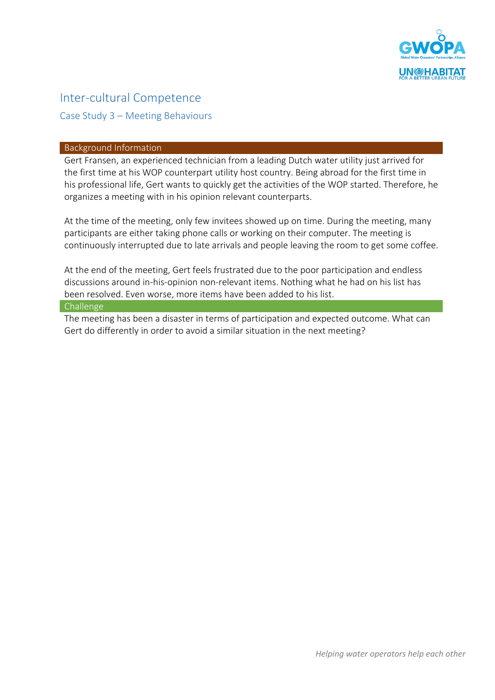

# Inter-cultural Competence Case Study 3 – Meeting Behaviours

### Background Information

Gert Fransen, an experienced technician from a leading Dutch water utility just arrived for the first time at his WOP counterpart utility host country. Being abroad for the first time in his professional life, Gert wants to quickly get the activities of the WOP started. Therefore, he organizes a meeting with in his opinion relevant counterparts.

At the time of the meeting, only few invitees showed up on time. During the meeting, many participants are either taking phone calls or working on their computer. The meeting is continuously interrupted due to late arrivals and people leaving the room to get some coffee.

At the end of the meeting, Gert feels frustrated due to the poor participation and endless discussions around in-his-opinion non-relevant items. Nothing what he had on his list has been resolved. Even worse, more items have been added to his list.

### Challenge

The meeting has been a disaster in terms of participation and expected outcome. What can Gert do differently in order to avoid a similar situation in the next meeting?